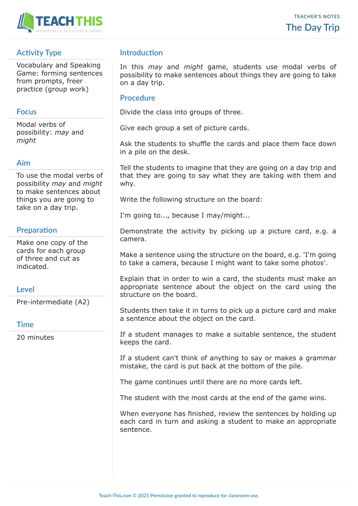

# **Activity Type**

Vocabulary and Speaking Game: forming sentences from prompts, freer practice (group work)

### **Focus**

Modal verbs of possibility: *may* and *might*

## **Aim**

To use the modal verbs of possibility *may* and *might* to make sentences about things you are going to take on a day trip.

# **Preparation**

Make one copy of the cards for each group of three and cut as indicated.

## **Level**

Pre-intermediate (A2)

#### **Time**

20 minutes

# **Introduction**

In this *may* and *might* game, students use modal verbs of possibility to make sentences about things they are going to take on a day trip.

#### **Procedure**

Divide the class into groups of three.

Give each group a set of picture cards.

Ask the students to shuffle the cards and place them face down in a pile on the desk.

Tell the students to imagine that they are going on a day trip and that they are going to say what they are taking with them and why.

Write the following structure on the board:

I'm going to..., because I may/might...

Demonstrate the activity by picking up a picture card, e.g. a camera.

Make a sentence using the structure on the board, e.g. 'I'm going to take a camera, because I might want to take some photos'.

Explain that in order to win a card, the students must make an appropriate sentence about the object on the card using the structure on the board.

Students then take it in turns to pick up a picture card and make a sentence about the object on the card.

If a student manages to make a suitable sentence, the student keeps the card.

If a student can't think of anything to say or makes a grammar mistake, the card is put back at the bottom of the pile.

The game continues until there are no more cards left.

The student with the most cards at the end of the game wins.

When everyone has finished, review the sentences by holding up each card in turn and asking a student to make an appropriate sentence.